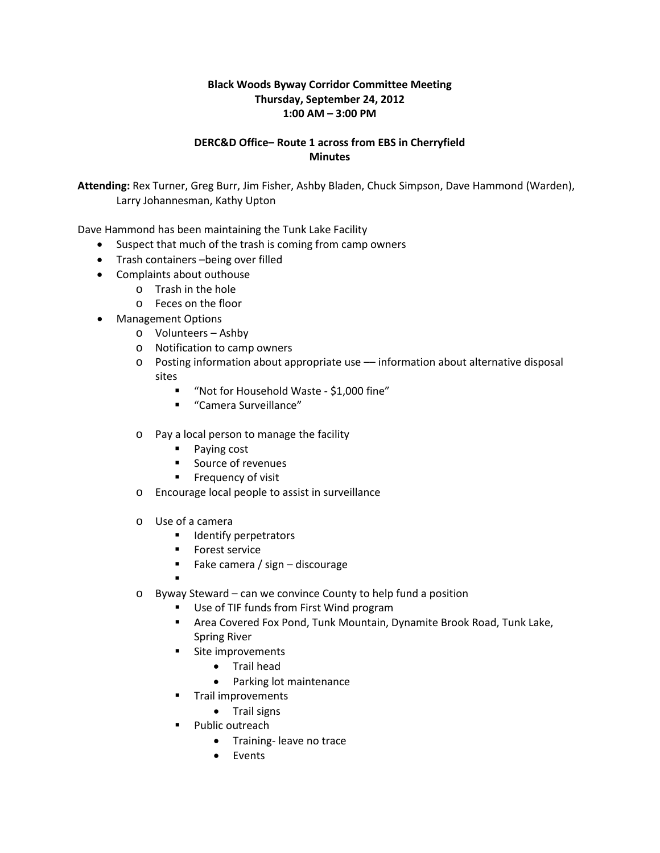## **Black Woods Byway Corridor Committee Meeting Thursday, September 24, 2012 1:00 AM – 3:00 PM**

## **DERC&D Office– Route 1 across from EBS in Cherryfield Minutes**

**Attending:** Rex Turner, Greg Burr, Jim Fisher, Ashby Bladen, Chuck Simpson, Dave Hammond (Warden), Larry Johannesman, Kathy Upton

Dave Hammond has been maintaining the Tunk Lake Facility

- Suspect that much of the trash is coming from camp owners
- Trash containers –being over filled
- Complaints about outhouse
	- o Trash in the hole
	- o Feces on the floor
- Management Options
	- o Volunteers Ashby
	- o Notification to camp owners
	- o Posting information about appropriate use –– information about alternative disposal sites
		- "Not for Household Waste \$1,000 fine"
		- "Camera Surveillance"
	- o Pay a local person to manage the facility
		- Paying cost
		- **Source of revenues**
		- **Filter Frequency of visit**
	- o Encourage local people to assist in surveillance
	- o Use of a camera
		- **IDENTIFY perpetrators**
		- **Forest service**
		- Fake camera / sign discourage
		- .
	- o Byway Steward can we convince County to help fund a position
		- Use of TIF funds from First Wind program
		- Area Covered Fox Pond, Tunk Mountain, Dynamite Brook Road, Tunk Lake, Spring River
		- **Site improvements** 
			- Trail head
			- Parking lot maintenance
		- **Trail improvements** 
			- Trail signs
		- Public outreach
			- Training- leave no trace
			- Events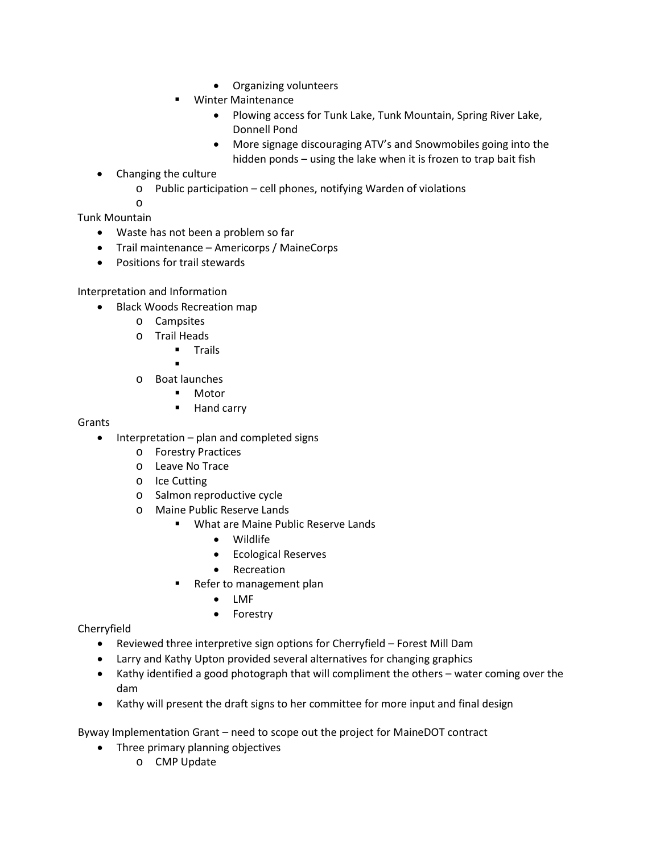- Organizing volunteers
- Winter Maintenance
	- Plowing access for Tunk Lake, Tunk Mountain, Spring River Lake, Donnell Pond
	- More signage discouraging ATV's and Snowmobiles going into the hidden ponds – using the lake when it is frozen to trap bait fish
- Changing the culture
	- o Public participation cell phones, notifying Warden of violations

o

Tunk Mountain

- Waste has not been a problem so far
- Trail maintenance Americorps / MaineCorps
- Positions for trail stewards

## Interpretation and Information

- Black Woods Recreation map
	- o Campsites
	- o Trail Heads<br>Trai
		- Trails
		- .
	- o Boat launches
		- Motor
		- **Hand carry**

Grants

- Interpretation plan and completed signs
	- o Forestry Practices
	- o Leave No Trace
	- o Ice Cutting
	- o Salmon reproductive cycle
	- o Maine Public Reserve Lands
		- **What are Maine Public Reserve Lands** 
			- Wildlife
			- Ecological Reserves
			- Recreation
		- Refer to management plan
			- LMF
			- **Forestry**

Cherryfield

- Reviewed three interpretive sign options for Cherryfield Forest Mill Dam
- Larry and Kathy Upton provided several alternatives for changing graphics
- Kathy identified a good photograph that will compliment the others water coming over the dam
- Kathy will present the draft signs to her committee for more input and final design

Byway Implementation Grant – need to scope out the project for MaineDOT contract

- Three primary planning objectives
	- o CMP Update